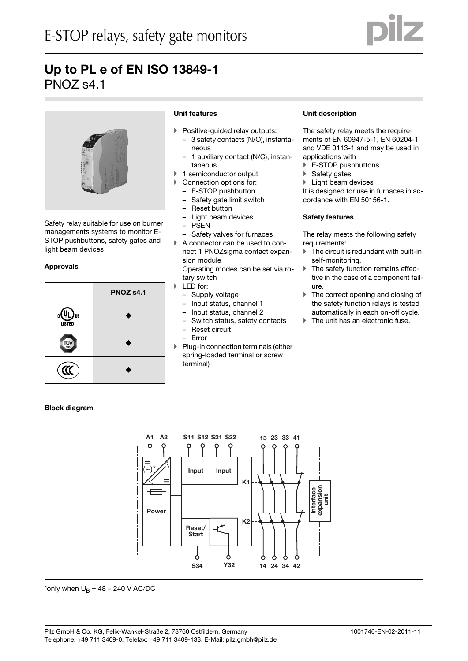



Safety relay suitable for use on burner managements systems to monitor E-STOP pushbuttons, safety gates and light beam devices

## **Approvals**



## **Unit features**

- Positive-guided relay outputs:
- 3 safety contacts (N/O), instantaneous
- 1 auxiliary contact (N/C), instantaneous
- 1 semiconductor output
- Connection options for:
	- E-STOP pushbutton
	- Safety gate limit switch
	- Reset button
	- Light beam devices
	- PSEN
- Safety valves for furnaces
- A connector can be used to connect 1 PNOZsigma contact expansion module Operating modes can be set via ro-

tary switch

- LED for:
	- Supply voltage
	- Input status, channel 1
	- Input status, channel 2
	- Switch status, safety contacts – Reset circuit
	- Error
- Plug-in connection terminals (either spring-loaded terminal or screw terminal)

### **Unit description**

The safety relay meets the requirements of EN 60947-5-1, EN 60204-1 and VDE 0113-1 and may be used in applications with

- ▶ E-STOP pushbuttons
- ▶ Safety gates
- 

If Light beam devices<br>It is designed for use in furnaces in accordance with EN 50156-1.

#### **Safety features**

The relay meets the following safety requirements:

- $\blacktriangleright$  The circuit is redundant with built-in self-monitoring.
- The safety function remains effective in the case of a component failure.
- ▶ The correct opening and closing of the safety function relays is tested automatically in each on-off cycle.<br>
Fine unit has an electronic fuse.
- 

## **Block diagram**



\*only when  $U_B = 48 - 240$  V AC/DC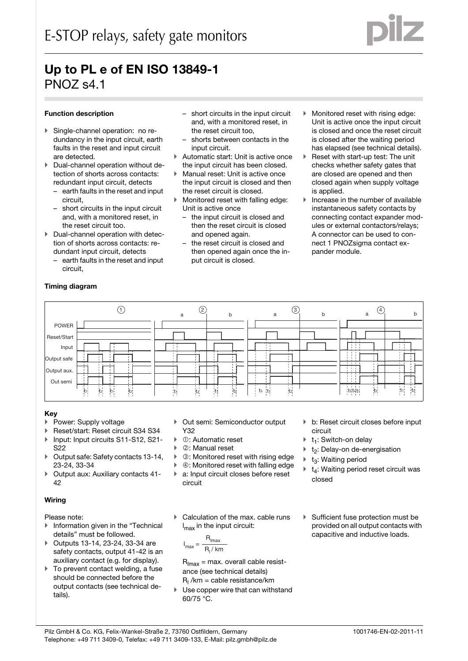## **Function description**

- **Funktion**: no redundancy in the input circuit, earth faults in the reset and input circuit are detected.
- $\blacktriangleright$  Dual-channel operation without detection of shorts across contacts: redundant input circuit, detects
	- earth faults in the reset and input circuit,
- short circuits in the input circuit and, with a monitored reset, in the reset circuit too.<br>**Dual-channel operation with detec-**
- tion of shorts across contacts: redundant input circuit, detects
	- earth faults in the reset and input circuit,
- short circuits in the input circuit and, with a monitored reset, in the reset circuit too,
- shorts between contacts in the input circuit.
- Automatic start: Unit is active once
- the input circuit has been closed.<br>Manual reset: Unit is active once the input circuit is closed and then the reset circuit is closed.
- $\blacktriangleright$  Monitored reset with falling edge: Unit is active once
	- the input circuit is closed and then the reset circuit is closed and opened again.
	- the reset circuit is closed and then opened again once the input circuit is closed.
- Monitored reset with rising edge: Unit is active once the input circuit is closed and once the reset circuit is closed after the waiting period has elapsed (see technical details).
- Reset with start-up test: The unit checks whether safety gates that are closed are opened and then closed again when supply voltage is applied.
- Increase in the number of available instantaneous safety contacts by connecting contact expander modules or external contactors/relays; A connector can be used to connect 1 PNOZsigma contact expander module.

## **Timing diagram**



### **Key**

- Power: Supply voltage
- Reset/start: Reset circuit S34 S34
- ▶ Input: Input circuits S11-S12, S21-S22
- Output safe: Safety contacts 13-14, 23-24, 33-34
- ▶ Output aux: Auxiliary contacts 41-42

## **Wiring**

## Please note:

- **Information given in the "Technical** details" must be followed.
- ▶ Outputs 13-14, 23-24, 33-34 are safety contacts, output 41-42 is an auxiliary contact (e.g. for display).
- To prevent contact welding, a fuse should be connected before the output contacts (see technical details).
- Out semi: Semiconductor output Y32
- : Automatic reset
- : Manual reset
- : Monitored reset with rising edge
- ▶ ④: Monitored reset with falling edge
- a: Input circuit closes before reset circuit
- Calculation of the max. cable runs l max in the input circuit:

$$
I_{\text{max}} = \frac{R_{\text{lmax}}}{R_1 / \text{km}}
$$

 $R_{\text{lmax}}$  = max. overall cable resistance (see technical details)  $R_l$ /km = cable resistance/km

 Use copper wire that can withstand 60/75 °C.

- b: Reset circuit closes before input circuit
- $t_1$ : Switch-on delay
- t<sub>2</sub>: Delay-on de-energisation
- $t_3$ : Waiting period
- $t_4$ : Waiting period reset circuit was closed
- Sufficient fuse protection must be provided on all output contacts with capacitive and inductive loads.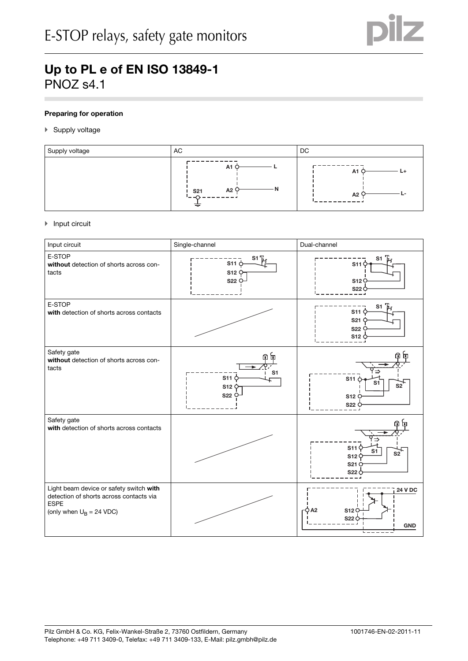

## **Preparing for operation**

## ▶ Supply voltage

| Supply voltage | AC                          | DC                |
|----------------|-----------------------------|-------------------|
|                | A1<br>A2<br><b>S21</b><br>= | A1<br>$L+$<br>A2' |

### $\blacktriangleright$  Input circuit

| Input circuit                                                                                                                   | Single-channel<br>Dual-channel                      |                                                                       |
|---------------------------------------------------------------------------------------------------------------------------------|-----------------------------------------------------|-----------------------------------------------------------------------|
| E-STOP<br>without detection of shorts across con-<br>tacts                                                                      | $S^1$ $F_1$<br>$$11$ $\circ$<br>S12<br><b>S22 C</b> | S11<br>S12C<br>S220                                                   |
| E-STOP<br>with detection of shorts across contacts                                                                              |                                                     | S <sub>1</sub><br>S11<br>S <sub>21</sub><br>S22 <sup>(</sup><br>S12 0 |
| Safety gate<br>without detection of shorts across con-<br>tacts                                                                 | S1<br>$S11 \n\zeta$<br>S12<br>S22 C                 | 1⇒<br>$$11$ $\circ$<br>S1<br>S2<br>S12<br>S22                         |
| Safety gate<br>with detection of shorts across contacts                                                                         |                                                     | ?⇒<br>S11<br>S1<br>S2<br>S12<br>S21<br><b>S22</b>                     |
| Light beam device or safety switch with<br>detection of shorts across contacts via<br><b>ESPE</b><br>(only when $U_B = 24$ VDC) |                                                     | <b>24 V DC</b><br>гÒ А2<br>S12C<br>S220<br><b>GND</b>                 |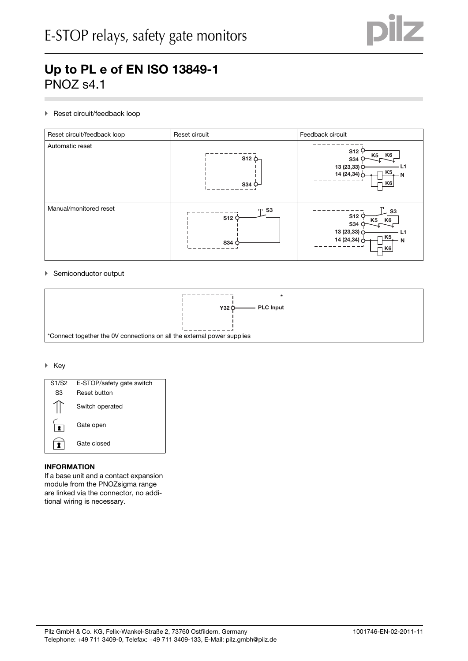

## Reset circuit/feedback loop



## Semiconductor output



### $\blacktriangleright$  Key



### $I$ **INFORMATION**

If a base unit and a contact expansion module from the PNOZsigma range are linked via the connector, no additional wiring is necessary.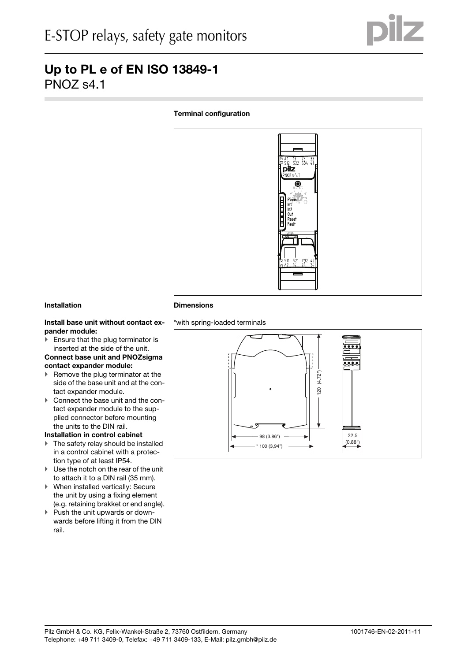## **Terminal configuration**



## **Installation**

## Install base unit without contact ex**pander module:**

 $\blacktriangleright$  Ensure that the plug terminator is inserted at the side of the unit.

## **Connect base unit and PNOZsigma contact expander module:**

- $\blacktriangleright$  Remove the plug terminator at the side of the base unit and at the contact expander module.
- Connect the base unit and the contact expander module to the supplied connector before mounting the units to the DIN rail.

## **Installation in control cabinet**

- ▶ The safety relay should be installed in a control cabinet with a protection type of at least IP54.
- Use the notch on the rear of the unit to attach it to a DIN rail (35 mm).
- When installed vertically: Secure the unit by using a fixing element (e.g. retaining brakket or end angle).
- Push the unit upwards or downwards before lifting it from the DIN rail.

## **Dimensions**



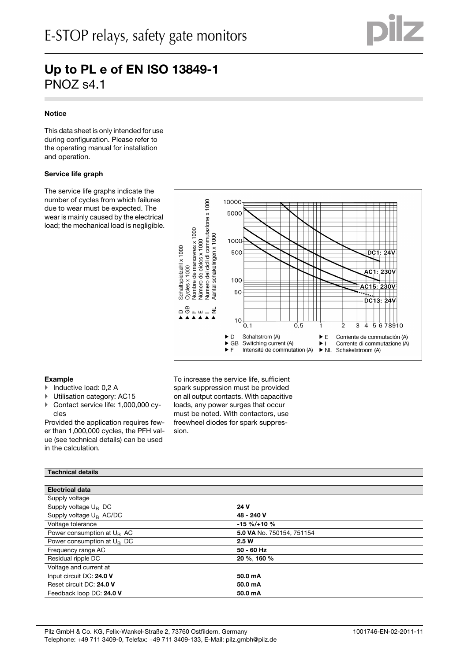

## **Notice**

This data sheet is only intended for use during configuration. Please refer to the operating manual for installation and operation.

### **Service life graph**

The service life graphs indicate the number of cycles from which failures due to wear must be expected. The wear is mainly caused by the electrical load; the mechanical load is negligible.



### Example

- ▶ Inductive load: 0,2 A
- Utilisation category: AC15
- ▶ Contact service life: 1,000,000 cycles

Provided the application requires fewer than 1,000,000 cycles, the PFH value (see technical details) can be used in the calculation.

To increase the service life, sufficient spark suppression must be provided on all output contacts. With capacitive loads, any power surges that occur must be noted. With contactors, use freewheel diodes for spark suppression. Technical details PNOZSigma and the contract of the contract of the contract of the contract of the contract of the contract of the contract of the contract of the contract of the contract of the contract of the cont

### **Technical details**

| <b>Electrical data</b>              |                           |
|-------------------------------------|---------------------------|
| Supply voltage                      |                           |
| Supply voltage $U_B$ DC             | 24 V                      |
| Supply voltage U <sub>B</sub> AC/DC | 48 - 240 V                |
| Voltage tolerance                   | $-15 \% / +10 \%$         |
| Power consumption at $U_R$ AC       | 5.0 VA No. 750154, 751154 |
| Power consumption at $U_R$ DC       | 2.5W                      |
| Frequency range AC                  | 50 - 60 Hz                |
| Residual ripple DC                  | 20 %, 160 %               |
| Voltage and current at              |                           |
| Input circuit DC: 24.0 V            | 50.0 mA                   |
| Reset circuit DC: 24.0 V            | 50.0 mA                   |
| Feedback loop DC: 24.0 V            | 50.0 mA                   |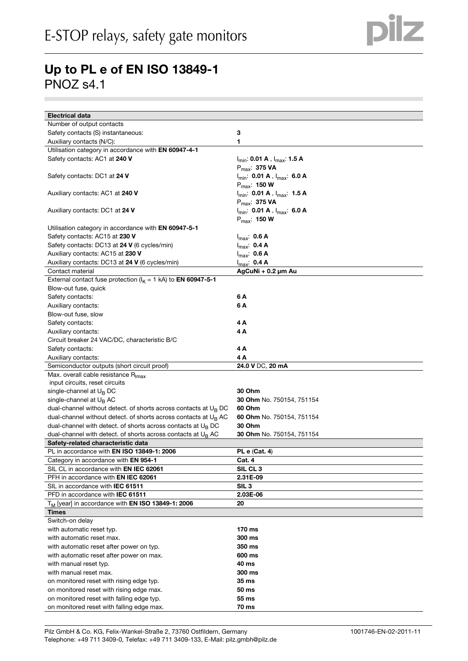

| <b>Electrical data</b>                                                                 |                                                                    |
|----------------------------------------------------------------------------------------|--------------------------------------------------------------------|
| Number of output contacts                                                              |                                                                    |
| Safety contacts (S) instantaneous:                                                     | 3                                                                  |
| Auxiliary contacts (N/C):                                                              | 1                                                                  |
| Utilisation category in accordance with EN 60947-4-1                                   |                                                                    |
| Safety contacts: AC1 at 240 V                                                          | I <sub>min</sub> : 0.01 A,I <sub>max</sub> : 1.5 A                 |
|                                                                                        | $P_{max}$ : 375 VA                                                 |
| Safety contacts: DC1 at 24 V                                                           | I <sub>min</sub> : <b>0.01 A</b> , I <sub>max</sub> : <b>6.0 A</b> |
|                                                                                        | $P_{max}$ : 150 W                                                  |
| Auxiliary contacts: AC1 at 240 V                                                       | $I_{\text{min}}$ : 0.01 A , $I_{\text{max}}$ : 1.5 A               |
|                                                                                        | $P_{max}$ : 375 VA                                                 |
| Auxiliary contacts: DC1 at 24 V                                                        | $I_{min}$ : 0.01 A, $I_{max}$ : 6.0 A                              |
|                                                                                        | $P_{\text{max}}$ : 150 W                                           |
| Utilisation category in accordance with EN 60947-5-1                                   |                                                                    |
| Safety contacts: AC15 at 230 V                                                         | $I_{max}$ : 0.6 A                                                  |
| Safety contacts: DC13 at 24 V (6 cycles/min)                                           | $I_{max}$ : 0.4 A                                                  |
| Auxiliary contacts: AC15 at 230 V                                                      | $I_{max}$ : 0.6 A                                                  |
| Auxiliary contacts: DC13 at 24 V (6 cycles/min)                                        | $I_{\text{max}}$ : 0.4 A                                           |
| Contact material                                                                       | AgCuNi + 0.2 µm Au                                                 |
| External contact fuse protection ( $I_K = 1$ kA) to <b>EN 60947-5-1</b>                |                                                                    |
| Blow-out fuse, quick                                                                   |                                                                    |
| Safety contacts:                                                                       | 6 A                                                                |
| Auxiliary contacts:                                                                    | 6 A                                                                |
| Blow-out fuse, slow                                                                    |                                                                    |
| Safety contacts:                                                                       | 4 A                                                                |
| Auxiliary contacts:                                                                    | 4A                                                                 |
| Circuit breaker 24 VAC/DC, characteristic B/C                                          |                                                                    |
| Safety contacts:                                                                       | 4 A                                                                |
| Auxiliary contacts:                                                                    | 4 A                                                                |
|                                                                                        |                                                                    |
| Semiconductor outputs (short circuit proof)                                            | 24.0 V DC, 20 mA                                                   |
| Max. overall cable resistance R <sub>Imax</sub>                                        |                                                                    |
| input circuits, reset circuits                                                         |                                                                    |
| single-channel at $U_B$ DC                                                             | 30 Ohm                                                             |
| single-channel at U <sub>B</sub> AC                                                    | <b>30 Ohm No. 750154, 751154</b>                                   |
| dual-channel without detect. of shorts across contacts at $U_B$ DC                     | 60 Ohm                                                             |
| dual-channel without detect. of shorts across contacts at $U_R$ AC                     | 60 Ohm No. 750154, 751154                                          |
| dual-channel with detect. of shorts across contacts at $U_B$ DC                        | 30 Ohm                                                             |
| dual-channel with detect. of shorts across contacts at $U_B AC$                        | <b>30 Ohm</b> No. 750154, 751154                                   |
| Safety-related characteristic data                                                     |                                                                    |
| PL in accordance with EN ISO 13849-1: 2006                                             | <b>PL e (Cat. 4)</b>                                               |
| Category in accordance with <b>EN 954-1</b>                                            | Cat. 4                                                             |
| SIL CL in accordance with <b>EN IEC 62061</b>                                          | SIL CL <sub>3</sub>                                                |
| PFH in accordance with <b>EN IEC 62061</b>                                             | 2.31E-09                                                           |
| SIL in accordance with <b>IEC 61511</b>                                                | SIL <sub>3</sub>                                                   |
| PFD in accordance with <b>IEC 61511</b>                                                | 2.03E-06                                                           |
| T <sub>M</sub> [year] in accordance with <b>EN ISO 13849-1: 2006</b>                   | 20                                                                 |
| Times                                                                                  |                                                                    |
| Switch-on delay                                                                        |                                                                    |
| with automatic reset typ.                                                              | 170 ms                                                             |
| with automatic reset max.                                                              | 300 ms                                                             |
| with automatic reset after power on typ.                                               | 350 ms                                                             |
| with automatic reset after power on max.                                               | 600 ms                                                             |
| with manual reset typ.                                                                 | 40 ms                                                              |
| with manual reset max.                                                                 | 300 ms                                                             |
| on monitored reset with rising edge typ.                                               | 35 ms                                                              |
| on monitored reset with rising edge max.                                               | 50 ms                                                              |
| on monitored reset with falling edge typ.<br>on monitored reset with falling edge max. | 55 ms                                                              |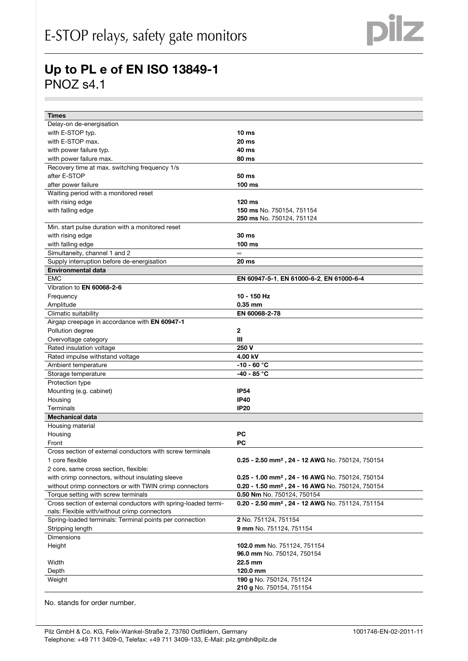| <b>Times</b>                                                   |                                                              |
|----------------------------------------------------------------|--------------------------------------------------------------|
| Delay-on de-energisation                                       |                                                              |
| with E-STOP typ.                                               | 10 <sub>ms</sub>                                             |
| with E-STOP max.                                               | <b>20 ms</b>                                                 |
| with power failure typ.                                        | 40 ms                                                        |
| with power failure max.                                        | 80 ms                                                        |
| Recovery time at max. switching frequency 1/s                  |                                                              |
| after E-STOP                                                   | 50 ms                                                        |
| after power failure                                            | 100 ms                                                       |
| Waiting period with a monitored reset                          |                                                              |
| with rising edge                                               | 120 ms                                                       |
| with falling edge                                              | 150 ms No. 750154, 751154                                    |
|                                                                | <b>250 ms</b> No. 750124, 751124                             |
| Min. start pulse duration with a monitored reset               |                                                              |
| with rising edge                                               | 30 ms                                                        |
| with falling edge                                              | 100 ms                                                       |
| Simultaneity, channel 1 and 2                                  | $\infty$                                                     |
| Supply interruption before de-energisation                     | 20 ms                                                        |
| <b>Environmental data</b>                                      |                                                              |
| <b>EMC</b>                                                     | EN 60947-5-1, EN 61000-6-2, EN 61000-6-4                     |
| Vibration to EN 60068-2-6                                      |                                                              |
| Frequency                                                      | 10 - 150 Hz                                                  |
| Amplitude                                                      | 0.35 mm                                                      |
| Climatic suitability                                           | EN 60068-2-78                                                |
| Airgap creepage in accordance with <b>EN 60947-1</b>           |                                                              |
| Pollution degree                                               | $\mathbf{2}$                                                 |
| Overvoltage category                                           | Ш                                                            |
| Rated insulation voltage                                       | 250 V                                                        |
| Rated impulse withstand voltage                                | 4.00 kV                                                      |
| Ambient temperature                                            | $-10 - 60 °C$                                                |
| Storage temperature                                            | -40 - 85 °C                                                  |
| Protection type                                                |                                                              |
| Mounting (e.g. cabinet)                                        | <b>IP54</b>                                                  |
| Housing                                                        | <b>IP40</b>                                                  |
| Terminals                                                      | <b>IP20</b>                                                  |
| <b>Mechanical data</b>                                         |                                                              |
| Housing material                                               |                                                              |
| Housing                                                        | РC                                                           |
| Front                                                          | PС                                                           |
| Cross section of external conductors with screw terminals      |                                                              |
| 1 core flexible                                                | 0.25 - 2.50 mm <sup>2</sup> , 24 - 12 AWG No. 750124, 750154 |
| 2 core, same cross section, flexible:                          |                                                              |
| with crimp connectors, without insulating sleeve               | 0.25 - 1.00 mm <sup>2</sup> , 24 - 16 AWG No. 750124, 750154 |
| without crimp connectors or with TWIN crimp connectors         | 0.20 - 1.50 mm <sup>2</sup> , 24 - 16 AWG No. 750124, 750154 |
| Torque setting with screw terminals                            | 0.50 Nm No. 750124, 750154                                   |
| Cross section of external conductors with spring-loaded termi- | 0.20 - 2.50 mm <sup>2</sup> , 24 - 12 AWG No. 751124, 751154 |
| nals: Flexible with/without crimp connectors                   |                                                              |
| Spring-loaded terminals: Terminal points per connection        | 2 No. 751124, 751154                                         |
| Stripping length                                               | 9 mm No. 751124, 751154                                      |
| <b>Dimensions</b>                                              |                                                              |
| Height                                                         | 102.0 mm No. 751124, 751154                                  |
|                                                                | 96.0 mm No. 750124, 750154                                   |
| Width                                                          | 22.5 mm                                                      |
| Depth                                                          | 120.0 mm                                                     |
| Weight                                                         | 190 g No. 750124, 751124                                     |
|                                                                | 210 g No. 750154, 751154                                     |

No. stands for order number.